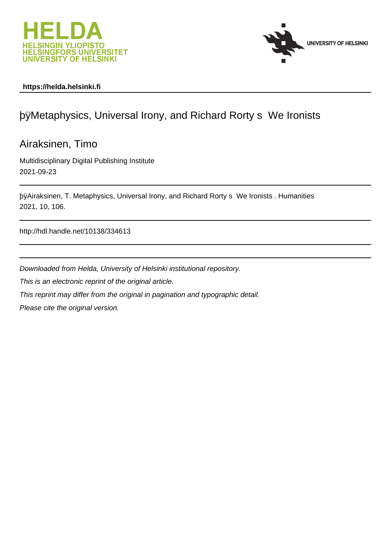



# **https://helda.helsinki.fi**

# þÿMetaphysics, Universal Irony, and Richard Rorty

Airaksinen, Timo

Multidisciplinary Digital Publishing Institute 2021-09-23

þÿAiraksinen, T. Metaphysics, Universal Irony, and Richard Rorty s We 2021, 10, 106.

http://hdl.handle.net/10138/334613

Downloaded from Helda, University of Helsinki institutional repository.

This is an electronic reprint of the original article.

This reprint may differ from the original in pagination and typographic detail.

Please cite the original version.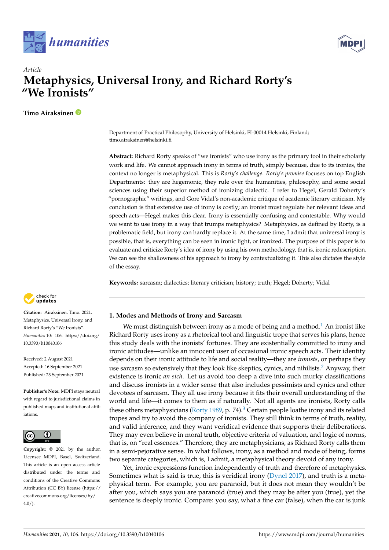



# *Article* **Metaphysics, Universal Irony, and Richard Rorty's "We Ironists"**

**Timo Airaksinen**

Department of Practical Philosophy, University of Helsinki, FI-00014 Helsinki, Finland; timo.airaksinen@helsinki.fi

**Abstract:** Richard Rorty speaks of "we ironists" who use irony as the primary tool in their scholarly work and life. We cannot approach irony in terms of truth, simply because, due to its ironies, the context no longer is metaphysical. This is *Rorty's challenge*. *Rorty's promise* focuses on top English Departments: they are hegemonic, they rule over the humanities, philosophy, and some social sciences using their superior method of ironizing dialectic. I refer to Hegel, Gerald Doherty's "pornographic" writings, and Gore Vidal's non-academic critique of academic literary criticism. My conclusion is that extensive use of irony is costly; an ironist must regulate her relevant ideas and speech acts—Hegel makes this clear. Irony is essentially confusing and contestable. Why would we want to use irony in a way that trumps metaphysics? Metaphysics, as defined by Rorty, is a problematic field, but irony can hardly replace it. At the same time, I admit that universal irony is possible, that is, everything can be seen in ironic light, or ironized. The purpose of this paper is to evaluate and criticize Rorty's idea of irony by using his own methodology, that is, ironic redescription. We can see the shallowness of his approach to irony by contextualizing it. This also dictates the style of the essay.

**Keywords:** sarcasm; dialectics; literary criticism; history; truth; Hegel; Doherty; Vidal

# **1. Modes and Methods of Irony and Sarcasm**

We must distinguish between irony as a mode of being and a method.<sup>1</sup> An ironist like Richard Rorty uses irony as a rhetorical tool and linguistic trope that serves his plans, hence this study deals with the ironists' fortunes. They are existentially committed to irony and ironic attitudes—unlike an innocent user of occasional ironic speech acts. Their identity depends on their ironic attitude to life and social reality—they are *ironists*, or perhaps they use sarcasm so extensively that they look like skeptics, cynics, and nihilists.<sup>2</sup> Anyway, their existence is ironic *an sich*. Let us avoid too deep a dive into such murky classifications and discuss ironists in a wider sense that also includes pessimists and cynics and other devotees of sarcasm. They all use irony because it fits their overall understanding of the world and life—it comes to them as if naturally. Not all agents are ironists, Rorty calls these others metaphysicians (Rorty 1989, p. 74).<sup>3</sup> Certain people loathe irony and its related tropes and try to avoid the company of ironists. They still think in terms of truth, reality, and valid inference, and they want veridical evidence that supports their deliberations. They may even believe in moral truth, objective criteria of valuation, and logic of norms, that is, on "real essences." Therefore, they are metaphysicians, as Richard Rorty calls them in a semi-pejorative sense. In what follows, irony, as a method and mode of being, forms two separate categories, which is, I admit, a metaphysical theory devoid of any irony.

Yet, ironic expressions function independently of truth and therefore of metaphysics. Sometimes what is said is true, this is veridical irony (Dynel 2017), and truth is a metaphysical term. For example, you are paranoid, but it does not mean they wouldn't be after you, which says you are paranoid (true) and they may be after you (true), yet the sentence is deeply ironic. Compare: you say, what a fine car (false), when the car is junk



**Citation:** Airaksinen, Timo. 2021. Metaphysics, Universal Irony, and Richard Rorty's "We Ironists". *Humanities* 10: 106. [https://doi.org/](https://doi.org/10.3390/h10040106) [10.3390/h10040106](https://doi.org/10.3390/h10040106)

Received: 2 August 2021 Accepted: 16 September 2021 Published: 23 September 2021

**Publisher's Note:** MDPI stays neutral with regard to jurisdictional claims in published maps and institutional affiliations.



**Copyright:** © 2021 by the author. Licensee MDPI, Basel, Switzerland. This article is an open access article distributed under the terms and conditions of the Creative Commons Attribution (CC BY) license (https:/[/](https://creativecommons.org/licenses/by/4.0/) [creativecommons.org/licenses/by/](https://creativecommons.org/licenses/by/4.0/)  $4.0/$ ).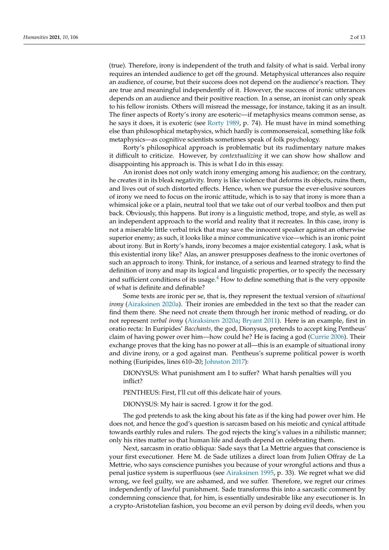(true). Therefore, irony is independent of the truth and falsity of what is said. Verbal irony requires an intended audience to get off the ground. Metaphysical utterances also require an audience, of course, but their success does not depend on the audience's reaction. They are true and meaningful independently of it. However, the success of ironic utterances depends on an audience and their positive reaction. In a sense, an ironist can only speak to his fellow ironists. Others will misread the message, for instance, taking it as an insult. The finer aspects of Rorty's irony are esoteric—if metaphysics means common sense, as he says it does, it is exoteric (see Rorty 1989, p. 74). He must have in mind something else than philosophical metaphysics, which hardly is commonsensical, something like folk metaphysics—as cognitive scientists sometimes speak of folk psychology.

Rorty's philosophical approach is problematic but its rudimentary nature makes it difficult to criticize. However, by *contextualizing* it we can show how shallow and disappointing his approach is. This is what I do in this essay.

An ironist does not only watch irony emerging among his audience; on the contrary, he creates it in its bleak negativity. Irony is like violence that deforms its objects, ruins them, and lives out of such distorted effects. Hence, when we pursue the ever-elusive sources of irony we need to focus on the ironic attitude, which is to say that irony is more than a whimsical joke or a plain, neutral tool that we take out of our verbal toolbox and then put back. Obviously, this happens. But irony is a linguistic method, trope, and style, as well as an independent approach to the world and reality that it recreates. In this case, irony is not a miserable little verbal trick that may save the innocent speaker against an otherwise superior enemy; as such, it looks like a minor communicative vice—which is an ironic point about irony. But in Rorty's hands, irony becomes a major existential category. I ask, what is this existential irony like? Alas, an answer presupposes deafness to the ironic overtones of such an approach to irony. Think, for instance, of a serious and learned strategy to find the definition of irony and map its logical and linguistic properties, or to specify the necessary and sufficient conditions of its usage. $4$  How to define something that is the very opposite of what is definite and definable?

Some texts are ironic per se, that is, they represent the textual version of *situational irony* (Airaksinen 2020a). Their ironies are embedded in the text so that the reader can find them there. She need not create them through her ironic method of reading, or do not represent *verbal irony* (Airaksinen 2020a; Bryant 2011). Here is an example, first in oratio recta: In Euripides' *Bacchants,* the god, Dionysus, pretends to accept king Pentheus' claim of having power over him—how could he? He is facing a god (Currie 2006). Their exchange proves that the king has no power at all—this is an example of situational irony and divine irony, or a god against man. Pentheus's supreme political power is worth nothing (Euripides, lines 610–20; Johnston 2017):

DIONYSUS: What punishment am I to suffer? What harsh penalties will you inflict?

PENTHEUS: First, I'll cut off this delicate hair of yours.

DIONYSUS: My hair is sacred. I grow it for the god.

The god pretends to ask the king about his fate as if the king had power over him. He does not, and hence the god's question is sarcasm based on his meiotic and cynical attitude towards earthly rules and rulers. The god rejects the king's values in a nihilistic manner; only his rites matter so that human life and death depend on celebrating them.

Next, sarcasm in oratio obliqua: Sade says that La Mettrie argues that conscience is your first executioner. Here M. de Sade utilizes a direct loan from Julien Offray de La Mettrie, who says conscience punishes you because of your wrongful actions and thus a penal justice system is superfluous (see Airaksinen 1995, p. 33). We regret what we did wrong, we feel guilty, we are ashamed, and we suffer. Therefore, we regret our crimes independently of lawful punishment. Sade transforms this into a sarcastic comment by condemning conscience that, for him, is essentially undesirable like any executioner is. In a crypto-Aristotelian fashion, you become an evil person by doing evil deeds, when you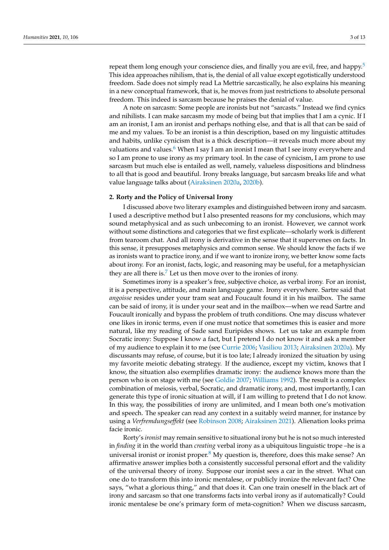repeat them long enough your conscience dies, and finally you are evil, free, and happy.<sup>5</sup> This idea approaches nihilism, that is, the denial of all value except egotistically understood freedom. Sade does not simply read La Mettrie sarcastically, he also explains his meaning in a new conceptual framework, that is, he moves from just restrictions to absolute personal freedom. This indeed is sarcasm because he praises the denial of value.

A note on sarcasm: Some people are ironists but not "sarcasts." Instead we find cynics and nihilists. I can make sarcasm my mode of being but that implies that I am a cynic. If I am an ironist, I am an ironist and perhaps nothing else, and that is all that can be said of me and my values. To be an ironist is a thin description, based on my linguistic attitudes and habits, unlike cynicism that is a thick description—it reveals much more about my valuations and values.<sup>6</sup> When I say I am an ironist I mean that I see irony everywhere and so I am prone to use irony as my primary tool. In the case of cynicism, I am prone to use sarcasm but much else is entailed as well, namely, valueless dispositions and blindness to all that is good and beautiful. Irony breaks language, but sarcasm breaks life and what value language talks about (Airaksinen 2020a, 2020b).

## **2. Rorty and the Policy of Universal Irony**

I discussed above two literary examples and distinguished between irony and sarcasm. I used a descriptive method but I also presented reasons for my conclusions, which may sound metaphysical and as such unbecoming to an ironist. However, we cannot work without some distinctions and categories that we first explicate—scholarly work is different from tearoom chat. And all irony is derivative in the sense that it supervenes on facts. In this sense, it presupposes metaphysics and common sense. We should know the facts if we as ironists want to practice irony, and if we want to ironize irony, we better know some facts about irony. For an ironist, facts, logic, and reasoning may be useful, for a metaphysician they are all there is.<sup>7</sup> Let us then move over to the ironies of irony.

Sometimes irony is a speaker's free, subjective choice, as verbal irony. For an ironist, it is a perspective, attitude, and main language game. Irony everywhere. Sartre said that *angoisse* resides under your tram seat and Foucault found it in his mailbox. The same can be said of irony, it is under your seat and in the mailbox—when we read Sartre and Foucault ironically and bypass the problem of truth conditions. One may discuss whatever one likes in ironic terms, even if one must notice that sometimes this is easier and more natural, like my reading of Sade sand Euripides shows. Let us take an example from Socratic irony: Suppose I know a fact, but I pretend I do not know it and ask a member of my audience to explain it to me (see Currie 2006; Vasiliou 2013; Airaksinen 2020a). My discussants may refuse, of course, but it is too late; I already ironized the situation by using my favorite meiotic debating strategy. If the audience, except my victim, knows that I know, the situation also exemplifies dramatic irony: the audience knows more than the person who is on stage with me (see Goldie 2007; Williams 1992). The result is a complex combination of meiosis, verbal, Socratic, and dramatic irony, and, most importantly, I can generate this type of ironic situation at will, if I am willing to pretend that I do not know. In this way, the possibilities of irony are unlimited, and I mean both one's motivation and speech. The speaker can read any context in a suitably weird manner, for instance by using a *Verfremdungseffekt* (see Robinson 2008; Airaksinen 2021). Alienation looks prima facie ironic.

Rorty's *ironist* may remain sensitive to situational irony but he is not so much interested in *finding* it in the world than *creating* verbal irony as a ubiquitous linguistic trope –he is a universal ironist or ironist proper. $8$  My question is, therefore, does this make sense? An affirmative answer implies both a consistently successful personal effort and the validity of the universal theory of irony. Suppose our ironist sees a car in the street. What can one do to transform this into ironic mentalese, or publicly ironize the relevant fact? One says, "what a glorious thing," and that does it. Can one train oneself in the black art of irony and sarcasm so that one transforms facts into verbal irony as if automatically? Could ironic mentalese be one's primary form of meta-cognition? When we discuss sarcasm,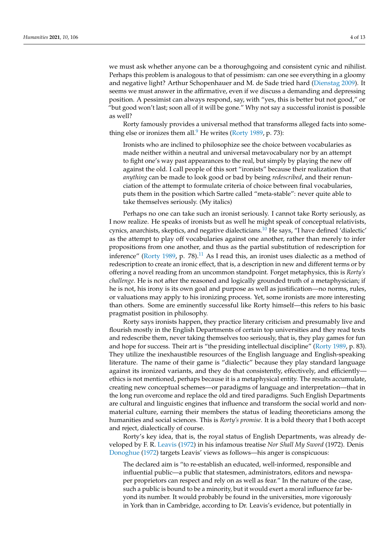we must ask whether anyone can be a thoroughgoing and consistent cynic and nihilist. Perhaps this problem is analogous to that of pessimism: can one see everything in a gloomy and negative light? Arthur Schopenhauer and M. de Sade tried hard (Dienstag 2009). It seems we must answer in the affirmative, even if we discuss a demanding and depressing position. A pessimist can always respond, say, with "yes, this is better but not good," or "but good won't last; soon all of it will be gone." Why not say a successful ironist is possible as well?

Rorty famously provides a universal method that transforms alleged facts into something else or ironizes them all. $9$  He writes (Rorty 1989, p. 73):

Ironists who are inclined to philosophize see the choice between vocabularies as made neither within a neutral and universal metavocabulary nor by an attempt to fight one's way past appearances to the real, but simply by playing the new off against the old. I call people of this sort "ironists" because their realization that *anything* can be made to look good or bad by being *redescribed*, and their renunciation of the attempt to formulate criteria of choice between final vocabularies, puts them in the position which Sartre called "meta-stable": never quite able to take themselves seriously. (My italics)

Perhaps no one can take such an ironist seriously. I cannot take Rorty seriously, as I now realize. He speaks of ironists but as well he might speak of conceptual relativists, cynics, anarchists, skeptics, and negative dialecticians.<sup>10</sup> He says, "I have defined 'dialectic' as the attempt to play off vocabularies against one another, rather than merely to infer propositions from one another, and thus as the partial substitution of redescription for inference" (Rorty 1989, p. 78).<sup>11</sup> As I read this, an ironist uses dialectic as a method of redescription to create an ironic effect, that is, a description in new and different terms or by offering a novel reading from an uncommon standpoint. Forget metaphysics, this is *Rorty's challenge*. He is not after the reasoned and logically grounded truth of a metaphysician; if he is not, his irony is its own goal and purpose as well as justification—no norms, rules, or valuations may apply to his ironizing process. Yet, some ironists are more interesting than others. Some are eminently successful like Rorty himself—this refers to his basic pragmatist position in philosophy.

Rorty says ironists happen, they practice literary criticism and presumably live and flourish mostly in the English Departments of certain top universities and they read texts and redescribe them, never taking themselves too seriously, that is, they play games for fun and hope for success. Their art is "the presiding intellectual discipline" (Rorty 1989, p. 83). They utilize the inexhaustible resources of the English language and English-speaking literature. The name of their game is "dialectic" because they play standard language against its ironized variants, and they do that consistently, effectively, and efficiently ethics is not mentioned, perhaps because it is a metaphysical entity. The results accumulate, creating new conceptual schemes—or paradigms of language and interpretation—that in the long run overcome and replace the old and tired paradigms. Such English Departments are cultural and linguistic engines that influence and transform the social world and nonmaterial culture, earning their members the status of leading theoreticians among the humanities and social sciences. This is *Rorty's promise*. It is a bold theory that I both accept and reject, dialectically of course.

Rorty's key idea, that is, the royal status of English Departments, was already developed by F. R. Leavis (1972) in his infamous treatise *Nor Shall My Sword* (1972). Denis Donoghue (1972) targets Leavis' views as follows—his anger is conspicuous:

The declared aim is "to re-establish an educated, well-informed, responsible and influential public—a public that statesmen, administrators, editors and newspaper proprietors can respect and rely on as well as fear." In the nature of the case, such a public is bound to be a minority, but it would exert a moral influence far beyond its number. It would probably be found in the universities, more vigorously in York than in Cambridge, according to Dr. Leavis's evidence, but potentially in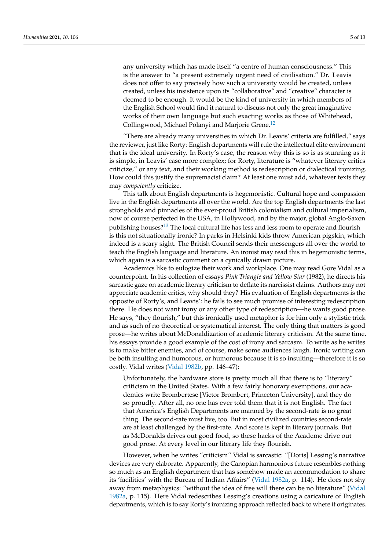any university which has made itself "a centre of human consciousness." This is the answer to "a present extremely urgent need of civilisation." Dr. Leavis does not offer to say precisely how such a university would be created, unless created, unless his insistence upon its "collaborative" and "creative" character is deemed to be enough. It would be the kind of university in which members of the English School would find it natural to discuss not only the great imaginative works of their own language but such exacting works as those of Whitehead, Collingwood, Michael Polanyi and Marjorie Grene.<sup>12</sup>

"There are already many universities in which Dr. Leavis' criteria are fulfilled," says the reviewer, just like Rorty: English departments will rule the intellectual elite environment that is the ideal university. In Rorty's case, the reason why this is so is as stunning as it is simple, in Leavis' case more complex; for Rorty, literature is "whatever literary critics criticize," or any text, and their working method is redescription or dialectical ironizing. How could this justify the supremacist claim? At least one must add, whatever texts they may *competently* criticize.

This talk about English departments is hegemonistic. Cultural hope and compassion live in the English departments all over the world. Are the top English departments the last strongholds and pinnacles of the ever-proud British colonialism and cultural imperialism, now of course perfected in the USA, in Hollywood, and by the major, global Anglo-Saxon publishing houses?<sup>13</sup> The local cultural life has less and less room to operate and flourish is this not situationally ironic? In parks in Helsinki kids throw American pigskin, which indeed is a scary sight. The British Council sends their messengers all over the world to teach the English language and literature. An ironist may read this in hegemonistic terms, which again is a sarcastic comment on a cynically drawn picture.

Academics like to eulogize their work and workplace. One may read Gore Vidal as a counterpoint. In his collection of essays *Pink Triangle and Yellow Star* (1982), he directs his sarcastic gaze on academic literary criticism to deflate its narcissist claims. Authors may not appreciate academic critics, why should they? His evaluation of English departments is the opposite of Rorty's, and Leavis': he fails to see much promise of interesting redescription there. He does not want irony or any other type of redescription—he wants good prose. He says, "they flourish," but this ironically used metaphor is for him only a stylistic trick and as such of no theoretical or systematical interest. The only thing that matters is good prose—he writes about McDonaldization of academic literary criticism. At the same time, his essays provide a good example of the cost of irony and sarcasm. To write as he writes is to make bitter enemies, and of course, make some audiences laugh. Ironic writing can be both insulting and humorous, or humorous because it is so insulting—therefore it is so costly. Vidal writes (Vidal 1982b, pp. 146–47):

Unfortunately, the hardware store is pretty much all that there is to "literary" criticism in the United States. With a few fairly honorary exemptions, our academics write Brombertese [Victor Brombert, Princeton University], and they do so proudly. After all, no one has ever told them that it is not English. The fact that America's English Departments are manned by the second-rate is no great thing. The second-rate must live, too. But in most civilized countries second-rate are at least challenged by the first-rate. And score is kept in literary journals. But as McDonalds drives out good food, so these hacks of the Academe drive out good prose. At every level in our literary life they flourish.

However, when he writes "criticism" Vidal is sarcastic: "[Doris] Lessing's narrative devices are very elaborate. Apparently, the Canopian harmonious future resembles nothing so much as an English department that has somehow made an accommodation to share its 'facilities' with the Bureau of Indian Affairs" (Vidal 1982a, p. 114). He does not shy away from metaphysics: "without the idea of free will there can be no literature" (Vidal 1982a, p. 115). Here Vidal redescribes Lessing's creations using a caricature of English departments, which is to say Rorty's ironizing approach reflected back to where it originates.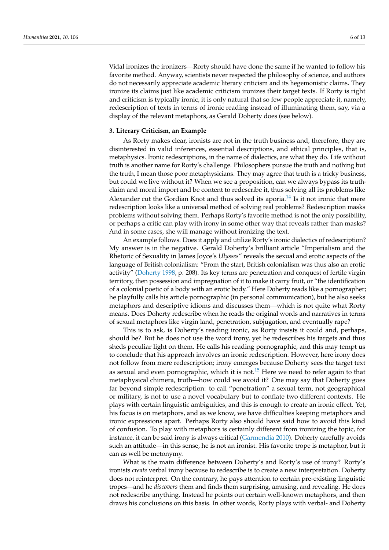Vidal ironizes the ironizers—Rorty should have done the same if he wanted to follow his favorite method. Anyway, scientists never respected the philosophy of science, and authors do not necessarily appreciate academic literary criticism and its hegemonistic claims. They ironize its claims just like academic criticism ironizes their target texts. If Rorty is right and criticism is typically ironic, it is only natural that so few people appreciate it, namely, redescription of texts in terms of ironic reading instead of illuminating them, say, via a display of the relevant metaphors, as Gerald Doherty does (see below).

#### **3. Literary Criticism, an Example**

As Rorty makes clear, ironists are not in the truth business and, therefore, they are disinterested in valid inferences, essential descriptions, and ethical principles, that is, metaphysics. Ironic redescriptions, in the name of dialectics, are what they do. Life without truth is another name for Rorty's challenge. Philosophers pursue the truth and nothing but the truth, I mean those poor metaphysicians. They may agree that truth is a tricky business, but could we live without it? When we see a proposition, can we always bypass its truthclaim and moral import and be content to redescribe it, thus solving all its problems like Alexander cut the Gordian Knot and thus solved its aporia.<sup>14</sup> Is it not ironic that mere redescription looks like a universal method of solving real problems? Redescription masks problems without solving them. Perhaps Rorty's favorite method is not the only possibility, or perhaps a critic can play with irony in some other way that reveals rather than masks? And in some cases, she will manage without ironizing the text.

An example follows. Does it apply and utilize Rorty's ironic dialectics of redescription? My answer is in the negative. Gerald Doherty's brilliant article "Imperialism and the Rhetoric of Sexuality in James Joyce's *Ulysses*" reveals the sexual and erotic aspects of the language of British colonialism: "From the start, British colonialism was thus also an erotic activity" (Doherty 1998, p. 208). Its key terms are penetration and conquest of fertile virgin territory, then possession and impregnation of it to make it carry fruit, or "the identification of a colonial poetic of a body with an erotic body." Here Doherty reads like a pornographer; he playfully calls his article pornographic (in personal communication), but he also seeks metaphors and descriptive idioms and discusses them—which is not quite what Rorty means. Does Doherty redescribe when he reads the original words and narratives in terms of sexual metaphors like virgin land, penetration, subjugation, and eventually rape?

This is to ask, is Doherty's reading ironic, as Rorty insists it could and, perhaps, should be? But he does not use the word irony, yet he redescribes his targets and thus sheds peculiar light on them. He calls his reading pornographic, and this may tempt us to conclude that his approach involves an ironic redescription. However, here irony does not follow from mere redescription; irony emerges because Doherty sees the target text as sexual and even pornographic, which it is not.<sup>15</sup> Here we need to refer again to that metaphysical chimera, truth—how could we avoid it? One may say that Doherty goes far beyond simple redescription: to call "penetration" a sexual term, not geographical or military, is not to use a novel vocabulary but to conflate two different contexts. He plays with certain linguistic ambiguities, and this is enough to create an ironic effect. Yet, his focus is on metaphors, and as we know, we have difficulties keeping metaphors and ironic expressions apart. Perhaps Rorty also should have said how to avoid this kind of confusion. To play with metaphors is certainly different from ironizing the topic, for instance, it can be said irony is always critical (Garmendia 2010). Doherty carefully avoids such an attitude—in this sense, he is not an ironist. His favorite trope is metaphor, but it can as well be metonymy.

What is the main difference between Doherty's and Rorty's use of irony? Rorty's ironists *create* verbal irony because to redescribe is to create a new interpretation. Doherty does not reinterpret. On the contrary, he pays attention to certain pre-existing linguistic tropes—and he *discovers* them and finds them surprising, amusing, and revealing. He does not redescribe anything. Instead he points out certain well-known metaphors, and then draws his conclusions on this basis. In other words, Rorty plays with verbal- and Doherty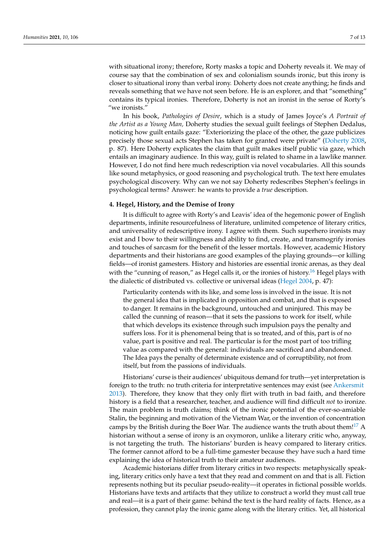with situational irony; therefore, Rorty masks a topic and Doherty reveals it. We may of course say that the combination of sex and colonialism sounds ironic, but this irony is closer to situational irony than verbal irony. Doherty does not create anything; he finds and reveals something that we have not seen before. He is an explorer, and that "something" contains its typical ironies. Therefore, Doherty is not an ironist in the sense of Rorty's "we ironists."

In his book, *Pathologies of Desire*, which is a study of James Joyce's *A Portrait of the Artist as a Young Man,* Doherty studies the sexual guilt feelings of Stephen Dedalus, noticing how guilt entails gaze: "Exteriorizing the place of the other, the gaze publicizes precisely those sexual acts Stephen has taken for granted were private" (Doherty 2008, p. 87). Here Doherty explicates the claim that guilt makes itself public via gaze, which entails an imaginary audience. In this way, guilt is related to shame in a lawlike manner. However, I do not find here much redescription via novel vocabularies. All this sounds like sound metaphysics, or good reasoning and psychological truth. The text here emulates psychological discovery. Why can we not say Doherty redescribes Stephen's feelings in psychological terms? Answer: he wants to provide a *true* description.

# **4. Hegel, History, and the Demise of Irony**

It is difficult to agree with Rorty's and Leavis' idea of the hegemonic power of English departments, infinite resourcefulness of literature, unlimited competence of literary critics, and universality of redescriptive irony. I agree with them. Such superhero ironists may exist and I bow to their willingness and ability to find, create, and transmogrify ironies and touches of sarcasm for the benefit of the lesser mortals. However, academic History departments and their historians are good examples of the playing grounds—or killing fields—of ironist gamesters. History and histories are essential ironic arenas, as they deal with the "cunning of reason," as Hegel calls it, or the ironies of history.<sup>16</sup> Hegel plays with the dialectic of distributed vs. collective or universal ideas (Hegel 2004, p. 47):

Particularity contends with its like, and some loss is involved in the issue. It is not the general idea that is implicated in opposition and combat, and that is exposed to danger. It remains in the background, untouched and uninjured. This may be called the cunning of reason—that it sets the passions to work for itself, while that which develops its existence through such impulsion pays the penalty and suffers loss. For it is phenomenal being that is so treated, and of this, part is of no value, part is positive and real. The particular is for the most part of too trifling value as compared with the general: individuals are sacrificed and abandoned. The Idea pays the penalty of determinate existence and of corruptibility, not from itself, but from the passions of individuals.

Historians' curse is their audiences' ubiquitous demand for truth—yet interpretation is foreign to the truth: no truth criteria for interpretative sentences may exist (see Ankersmit 2013). Therefore, they know that they only flirt with truth in bad faith, and therefore history is a field that a researcher, teacher, and audience will find difficult *not* to ironize. The main problem is truth claims; think of the ironic potential of the ever-so-amiable Stalin, the beginning and motivation of the Vietnam War, or the invention of concentration camps by the British during the Boer War. The audience wants the truth about them!<sup>17</sup> A historian without a sense of irony is an oxymoron, unlike a literary critic who, anyway, is not targeting the truth. The historians' burden is heavy compared to literary critics. The former cannot afford to be a full-time gamester because they have such a hard time explaining the idea of historical truth to their amateur audiences.

Academic historians differ from literary critics in two respects: metaphysically speaking, literary critics only have a text that they read and comment on and that is all. Fiction represents nothing but its peculiar pseudo-reality—it operates in fictional possible worlds. Historians have texts and artifacts that they utilize to construct a world they must call true and real—it is a part of their game: behind the text is the hard reality of facts. Hence, as a profession, they cannot play the ironic game along with the literary critics. Yet, all historical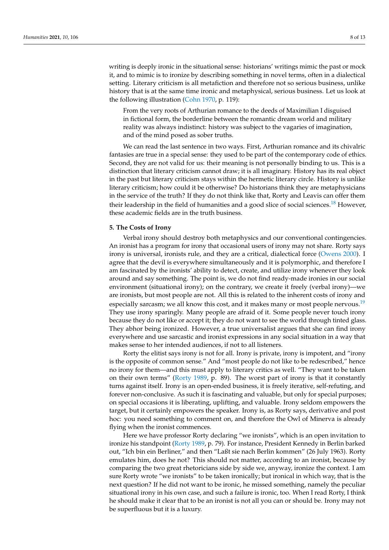writing is deeply ironic in the situational sense: historians' writings mimic the past or mock it, and to mimic is to ironize by describing something in novel terms, often in a dialectical setting. Literary criticism is all metafiction and therefore not so serious business, unlike history that is at the same time ironic and metaphysical, serious business. Let us look at the following illustration (Cohn 1970, p. 119):

From the very roots of Arthurian romance to the deeds of Maximilian I disguised in fictional form, the borderline between the romantic dream world and military reality was always indistinct: history was subject to the vagaries of imagination, and of the mind posed as sober truths.

We can read the last sentence in two ways. First, Arthurian romance and its chivalric fantasies are true in a special sense: they used to be part of the contemporary code of ethics. Second, they are not valid for us: their meaning is not personally binding to us. This is a distinction that literary criticism cannot draw; it is all imaginary. History has its real object in the past but literary criticism stays within the hermetic literary circle. History is unlike literary criticism; how could it be otherwise? Do historians think they are metaphysicians in the service of the truth? If they do not think like that, Rorty and Leavis can offer them their leadership in the field of humanities and a good slice of social sciences.<sup>18</sup> However, these academic fields are in the truth business.

## **5. The Costs of Irony**

Verbal irony should destroy both metaphysics and our conventional contingencies. An ironist has a program for irony that occasional users of irony may not share. Rorty says irony is universal, ironists rule, and they are a critical, dialectical force (Owens 2000). I agree that the devil is everywhere simultaneously and it is polymorphic, and therefore I am fascinated by the ironists' ability to detect, create, and utilize irony whenever they look around and say something. The point is, we do not find ready-made ironies in our social environment (situational irony); on the contrary, we create it freely (verbal irony)—we are ironists, but most people are not. All this is related to the inherent costs of irony and especially sarcasm; we all know this cost, and it makes many or most people nervous.<sup>19</sup> They use irony sparingly. Many people are afraid of it. Some people never touch irony because they do not like or accept it; they do not want to see the world through tinted glass. They abhor being ironized. However, a true universalist argues that she can find irony everywhere and use sarcastic and ironist expressions in any social situation in a way that makes sense to her intended audiences, if not to all listeners.

Rorty the elitist says irony is not for all. Irony is private, irony is impotent, and "irony is the opposite of common sense." And "most people do not like to be redescribed," hence no irony for them—and this must apply to literary critics as well. "They want to be taken on their own terms" (Rorty 1989, p. 89). The worst part of irony is that it constantly turns against itself. Irony is an open-ended business, it is freely iterative, self-refuting, and forever non-conclusive. As such it is fascinating and valuable, but only for special purposes; on special occasions it is liberating, uplifting, and valuable. Irony seldom empowers the target, but it certainly empowers the speaker. Irony is, as Rorty says, derivative and post hoc: you need something to comment on, and therefore the Owl of Minerva is already flying when the ironist commences.

Here we have professor Rorty declaring "we ironists", which is an open invitation to ironize his standpoint (Rorty 1989, p. 79). For instance, President Kennedy in Berlin barked out, "Ich bin ein Berliner," and then "Laßt sie nach Berlin kommen" (26 July 1963). Rorty emulates him, does he not? This should not matter, according to an ironist, because by comparing the two great rhetoricians side by side we, anyway, ironize the context. I am sure Rorty wrote "we ironists" to be taken ironically; but ironical in which way, that is the next question? If he did not want to be ironic, he missed something, namely the peculiar situational irony in his own case, and such a failure is ironic, too. When I read Rorty, I think he should make it clear that to be an ironist is not all you can or should be. Irony may not be superfluous but it is a luxury.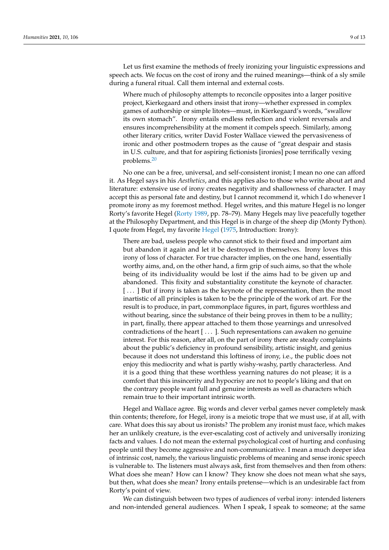Let us first examine the methods of freely ironizing your linguistic expressions and speech acts. We focus on the cost of irony and the ruined meanings—think of a sly smile during a funeral ritual. Call them internal and external costs.

Where much of philosophy attempts to reconcile opposites into a larger positive project, Kierkegaard and others insist that irony—whether expressed in complex games of authorship or simple litotes—must, in Kierkegaard's words, "swallow its own stomach". Irony entails endless reflection and violent reversals and ensures incomprehensibility at the moment it compels speech. Similarly, among other literary critics, writer David Foster Wallace viewed the pervasiveness of ironic and other postmodern tropes as the cause of "great despair and stasis in U.S. culture, and that for aspiring fictionists [ironies] pose terrifically vexing problems.20

No one can be a free, universal, and self-consistent ironist; I mean no one can afford it. As Hegel says in his *Aesthetics*, and this applies also to those who write about art and literature: extensive use of irony creates negativity and shallowness of character. I may accept this as personal fate and destiny, but I cannot recommend it, which I do whenever I promote irony as my foremost method. Hegel writes, and this mature Hegel is no longer Rorty's favorite Hegel (Rorty 1989, pp. 78–79). Many Hegels may live peacefully together at the Philosophy Department, and this Hegel is in charge of the sheep dip (Monty Python). I quote from Hegel, my favorite Hegel (1975, Introduction: Irony):

There are bad, useless people who cannot stick to their fixed and important aim but abandon it again and let it be destroyed in themselves. Irony loves this irony of loss of character. For true character implies, on the one hand, essentially worthy aims, and, on the other hand, a firm grip of such aims, so that the whole being of its individuality would be lost if the aims had to be given up and abandoned. This fixity and substantiality constitute the keynote of character. [ . . . ] But if irony is taken as the keynote of the representation, then the most inartistic of all principles is taken to be the principle of the work of art. For the result is to produce, in part, commonplace figures, in part, figures worthless and without bearing, since the substance of their being proves in them to be a nullity; in part, finally, there appear attached to them those yearnings and unresolved contradictions of the heart [ . . . ]. Such representations can awaken no genuine interest. For this reason, after all, on the part of irony there are steady complaints about the public's deficiency in profound sensibility, artistic insight, and genius because it does not understand this loftiness of irony, i.e., the public does not enjoy this mediocrity and what is partly wishy-washy, partly characterless. And it is a good thing that these worthless yearning natures do not please; it is a comfort that this insincerity and hypocrisy are not to people's liking and that on the contrary people want full and genuine interests as well as characters which remain true to their important intrinsic worth.

Hegel and Wallace agree. Big words and clever verbal games never completely mask thin contents; therefore, for Hegel, irony is a meiotic trope that we must use, if at all, with care. What does this say about us ironists? The problem any ironist must face, which makes her an unlikely creature, is the ever-escalating cost of actively and universally ironizing facts and values. I do not mean the external psychological cost of hurting and confusing people until they become aggressive and non-communicative. I mean a much deeper idea of intrinsic cost, namely, the various linguistic problems of meaning and sense ironic speech is vulnerable to. The listeners must always ask, first from themselves and then from others: What does she mean? How can I know? They know she does not mean what she says, but then, what does she mean? Irony entails pretense—which is an undesirable fact from Rorty's point of view.

We can distinguish between two types of audiences of verbal irony: intended listeners and non-intended general audiences. When I speak, I speak to someone; at the same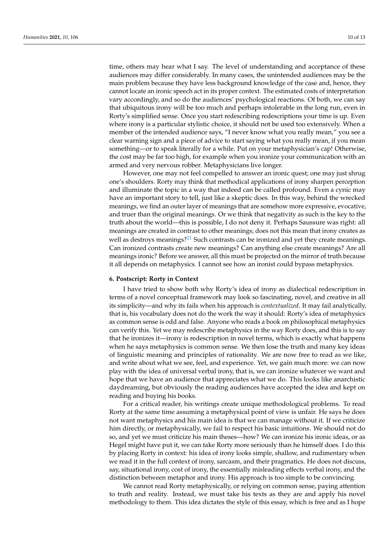time, others may hear what I say. The level of understanding and acceptance of these audiences may differ considerably. In many cases, the unintended audiences may be the main problem because they have less background knowledge of the case and, hence, they cannot locate an ironic speech act in its proper context. The estimated costs of interpretation vary accordingly, and so do the audiences' psychological reactions. Of both, we can say that ubiquitous irony will be too much and perhaps intolerable in the long run, even in Rorty's simplified sense. Once you start redescribing redescriptions your time is up. Even where irony is a particular stylistic choice, it should not be used too extensively. When a member of the intended audience says, "I never know what you really mean," you see a clear warning sign and a piece of advice to start saying what you really mean, if you mean something—or to speak literally for a while. Put on your metaphysician's cap! Otherwise, the cost may be far too high, for example when you ironize your communication with an armed and very nervous robber. Metaphysicians live longer.

However, one may not feel compelled to answer an ironic quest; one may just shrug one's shoulders. Rorty may think that methodical applications of irony sharpen perception and illuminate the topic in a way that indeed can be called profound. Even a cynic may have an important story to tell, just like a skeptic does. In this way, behind the wrecked meanings, we find an outer layer of meanings that are somehow more expressive, evocative, and truer than the original meanings. Or we think that negativity as such is the key to the truth about the world—this is possible, I do not deny it. Perhaps Saussure was right: all meanings are created in contrast to other meanings; does not this mean that irony creates as well as destroys meanings?<sup>21</sup> Such contrasts can be ironized and yet they create meanings. Can ironized contrasts create new meanings? Can anything else create meanings? Are all meanings ironic? Before we answer, all this must be projected on the mirror of truth because it all depends on metaphysics. I cannot see how an ironist could bypass metaphysics.

#### **6. Postscript: Rorty in Context**

I have tried to show both why Rorty's idea of irony as dialectical redescription in terms of a novel conceptual framework may look so fascinating, novel, and creative in all its simplicity—and why its fails when his approach is *contextualized*. It may fail analytically, that is, his vocabulary does not do the work the way it should: Rorty's idea of metaphysics as common sense is odd and false. Anyone who reads a book on philosophical metaphysics can verify this. Yet we may redescribe metaphysics in the way Rorty does, and this is to say that he ironizes it—irony is redescription in novel terms, which is exactly what happens when he says metaphysics is common sense. We then lose the truth and many key ideas of linguistic meaning and principles of rationality. We are now free to read as we like, and write about what we see, feel, and experience. Yet, we gain much more: we can now play with the idea of universal verbal irony, that is, we can ironize whatever we want and hope that we have an audience that appreciates what we do. This looks like anarchistic daydreaming, but obviously the reading audiences have accepted the idea and kept on reading and buying his books.

For a critical reader, his writings create unique methodological problems. To read Rorty at the same time assuming a metaphysical point of view is unfair. He says he does not want metaphysics and his main idea is that we can manage without it. If we criticize him directly, or metaphysically, we fail to respect his basic intuitions. We should not do so, and yet we must criticize his main theses—how? We can ironize his ironic ideas, or as Hegel might have put it, we can take Rorty more seriously than he himself does. I do this by placing Rorty in context: his idea of irony looks simple, shallow, and rudimentary when we read it in the full context of irony, sarcasm, and their pragmatics. He does not discuss, say, situational irony, cost of irony, the essentially misleading effects verbal irony, and the distinction between metaphor and irony. His approach is too simple to be convincing.

We cannot read Rorty metaphysically, or relying on common sense, paying attention to truth and reality. Instead, we must take his texts as they are and apply his novel methodology to them. This idea dictates the style of this essay, which is free and as I hope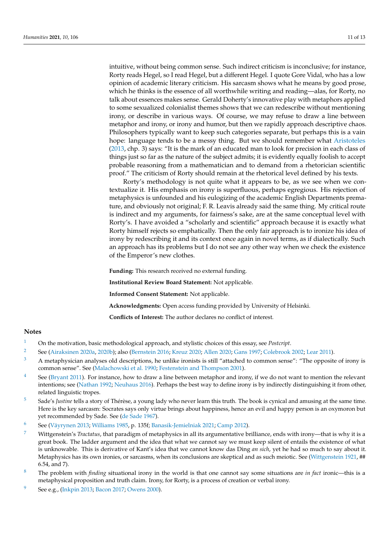intuitive, without being common sense. Such indirect criticism is inconclusive; for instance, Rorty reads Hegel, so I read Hegel, but a different Hegel. I quote Gore Vidal, who has a low opinion of academic literary criticism. His sarcasm shows what he means by good prose, which he thinks is the essence of all worthwhile writing and reading—alas, for Rorty, no talk about essences makes sense. Gerald Doherty's innovative play with metaphors applied to some sexualized colonialist themes shows that we can redescribe without mentioning irony, or describe in various ways. Of course, we may refuse to draw a line between metaphor and irony, or irony and humor, but then we rapidly approach descriptive chaos. Philosophers typically want to keep such categories separate, but perhaps this is a vain hope: language tends to be a messy thing. But we should remember what Aristoteles (2013, chp. 3) says: "It is the mark of an educated man to look for precision in each class of things just so far as the nature of the subject admits; it is evidently equally foolish to accept probable reasoning from a mathematician and to demand from a rhetorician scientific proof." The criticism of Rorty should remain at the rhetorical level defined by his texts.

Rorty's methodology is not quite what it appears to be, as we see when we contextualize it. His emphasis on irony is superfluous, perhaps egregious. His rejection of metaphysics is unfounded and his eulogizing of the academic English Departments premature, and obviously not original; F. R. Leavis already said the same thing. My critical route is indirect and my arguments, for fairness's sake, are at the same conceptual level with Rorty's. I have avoided a "scholarly and scientific" approach because it is exactly what Rorty himself rejects so emphatically. Then the only fair approach is to ironize his idea of irony by redescribing it and its context once again in novel terms, as if dialectically. Such an approach has its problems but I do not see any other way when we check the existence of the Emperor's new clothes.

**Funding:** This research received no external funding.

**Institutional Review Board Statement:** Not applicable.

**Informed Consent Statement:** Not applicable.

**Acknowledgments:** Open access funding provided by University of Helsinki.

**Conflicts of Interest:** The author declares no conflict of interest.

#### **Notes**

- 1 On the motivation, basic methodological approach, and stylistic choices of this essay, see *Postcript*.
- 2 See (Airaksinen 2020a, 2020b); also (Bernstein 2016; Kreuz 2020; Allen 2020; Gans 1997; Colebrook 2002; Lear 2011).
- <sup>3</sup> A metaphysician analyses old descriptions, he unlike ironists is still "attached to common sense": "The opposite of irony is common sense". See (Malachowski et al. 1990; Festenstein and Thompson 2001).
- <sup>4</sup> See (Bryant 2011). For instance, how to draw a line between metaphor and irony, if we do not want to mention the relevant intentions; see (Nathan 1992; Neuhaus 2016). Perhaps the best way to define irony is by indirectly distinguishing it from other, related linguistic tropes.
- 5 Sade's *Justine* tells a story of Thérèse, a young lady who never learn this truth. The book is cynical and amusing at the same time. Here is the key sarcasm: Socrates says only virtue brings about happiness, hence an evil and happy person is an oxymoron but yet recommended by Sade. See (de Sade 1967).
- 6 See (Väyrynen 2013; Williams 1985, p. 135f; Banasik-Jemielniak 2021; Camp 2012).
- 7 Wittgenstein's *Tractatus*, that paradigm of metaphysics in all its argumentative brilliance, ends with irony—that is why it is a great book. The ladder argument and the idea that what we cannot say we must keep silent of entails the existence of what is unknowable. This is derivative of Kant's idea that we cannot know das Ding *an sich*, yet he had so much to say about it. Metaphysics has its own ironies, or sarcasms, when its conclusions are skeptical and as such meiotic. See (Wittgenstein 1921, ## 6.54, and 7).
- 8 The problem with *finding* situational irony in the world is that one cannot say some situations are *in fact* ironic—this is a metaphysical proposition and truth claim. Irony, for Rorty, is a process of creation or verbal irony.
- See e.g., (Inkpin 2013; Bacon 2017; Owens 2000).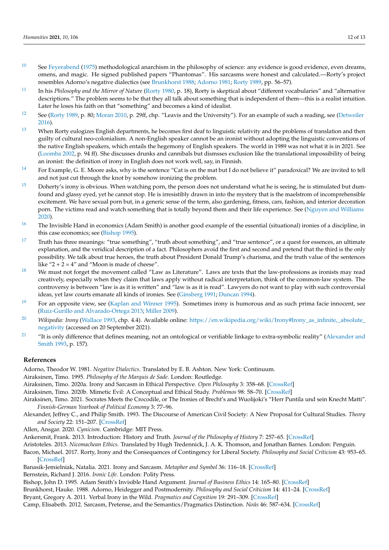- $10$  See Feyerabend (1975) methodological anarchism in the philosophy of science: any evidence is good evidence, even dreams, omens, and magic. He signed published papers "Phantomas". His sarcasms were honest and calculated.—Rorty's project resembles Adorno's negative dialectics (see Brunkhorst 1988; Adorno 1981; Rorty 1989, pp. 56–57).
- 11 In his *Philosophy and the Mirror of Nature* (Rorty 1980, p. 18), Rorty is skeptical about "different vocabularies" and "alternative descriptions." The problem seems to be that they all talk about something that is independent of them—this is a realist intuition. Later he loses his faith on that "something" and becomes a kind of idealist.
- <sup>12</sup> See (Rorty 1989, p. 80; Moran 2010, p. 29ff, chp. "Leavis and the University"). For an example of such a reading, see (Detweiler 2016).
- $13$  When Rorty eulogizes English departments, he becomes first deaf to linguistic relativity and the problems of translation and then guilty of cultural neo-colonialism. A non-English speaker cannot be an ironist without adopting the linguistic conventions of the native English speakers, which entails the hegemony of English speakers. The world in 1989 was not what it is in 2021. See (Loomba 2002, p. 94 ff). She discusses drunks and cannibals but dismsses exclusion like the translational impossibility of being an ironist: the definition of irony in English does not work well, say, in Finnish.
- <sup>14</sup> For Example, G. E. Moore asks, why is the sentence "Cat is on the mat but I do not believe it" paradoxical? We are invited to tell and not just cut through the knot by somehow ironizing the problem.
- $^{15}$  Doherty's irony is obvious. When watching porn, the person does not understand what he is seeing, he is stimulated but dumfound and glassy eyed, yet he cannot stop. He is irresistibly drawn in into the mystery that is the maelstrom of incomprehensible excitement. We have sexual porn but, in a generic sense of the term, also gardening, fitness, cars, fashion, and interior decoration porn. The victims read and watch something that is totally beyond them and their life experience. See (Nguyen and Williams 2020).
- $16$  The Invisible Hand in economics (Adam Smith) is another good example of the essential (situational) ironies of a discipline, in this case economics; see (Bishop 1995).
- <sup>17</sup> Truth has three meanings: "true something", "truth about something", and "true sentence", or a quest for essences, an ultimate explanation, and the veridical description of a fact. Philosophers avoid the first and second and pretend that the third is the only possibility. We talk about true heroes, the truth about President Donald Trump's charisma, and the truth value of the sentences like " $2 + 2 = 4$ " and "Moon is made of cheese".
- $18$  We must not forget the movement called "Law as Literature". Laws are texts that the law-professions as ironists may read creatively, especially when they claim that laws apply without radical interpretation, think of the common-law system. The controversy is between "law is as it is written" and "law is as it is read". Lawyers do not want to play with such controversial ideas, yet law courts emanate all kinds of ironies. See (Ginsberg 1991; Duncan 1994).
- <sup>19</sup> For an opposite view, see (Kaplan and Winner 1995). Sometimes irony is humorous and as such prima facie innocent, see (Ruiz-Gurillo and Alvarado-Ortega 2013; Miller 2009).
- <sup>20</sup> *Wikipedia: Irony* (Wallace 1993, chp. 4.4). Available online: [https://en.wikipedia.org/wiki/Irony#Irony\\_as\\_infinite,\\_absolute\\_](https://en.wikipedia.org/wiki/Irony#Irony_as_infinite,_absolute_negativity) [negativity](https://en.wikipedia.org/wiki/Irony#Irony_as_infinite,_absolute_negativity) (accessed on 20 September 2021).
- <sup>21</sup> "It is only difference that defines meaning, not an ontological or verifiable linkage to extra-symbolic reality" (Alexander and Smith 1993, p. 157).

# **References**

Adorno, Theodor W. 1981. *Negative Dialectics*. Translated by E. B. Ashton. New York: Continuum.

Airaksinen, Timo. 1995. *Philosophy of the Marquis de Sade*. London: Routledge.

Airaksinen, Timo. 2020a. Irony and Sarcasm in Ethical Perspective. *Open Philosophy* 3: 358–68. [\[CrossRef\]](http://doi.org/10.1515/opphil-2020-0132)

Airaksinen, Timo. 2020b. Mimetic Evil: A Conceptual and Ethical Study. *Problemos* 98: 58–70. [\[CrossRef\]](http://doi.org/10.15388/Problemos.98.5)

- Airaksinen, Timo. 2021. Socrates Meets the Crocodile, or The Ironies of Brecht's and Wuolijoki's "Herr Puntila und sein Knecht Matti". *Finnish-German Yearbook of Political Economy* 3: 77–96.
- Alexander, Jeffrey C., and Philip Smith. 1993. The Discourse of American Civil Society: A New Proposal for Cultural Studies. *Theory and Society* 22: 151–207. [\[CrossRef\]](http://doi.org/10.1007/BF00993497)
- Allen, Ansgar. 2020. *Cynicism*. Cambridge: MIT Press.

Ankersmit, Frank. 2013. Introduction: History and Truth. *Journal of the Philosophy of History* 7: 257–65. [\[CrossRef\]](http://doi.org/10.1163/18722636-12341253)

Aristoteles. 2013. *Nicomachean Ethics*. Translated by Hugh Tredennick, J. A. K. Thomson, and Jonathan Barnes. London: Penguin.

Bacon, Michael. 2017. Rorty, Irony and the Consequences of Contingency for Liberal Society. *Philosophy and Social Criticism* 43: 953–65. [\[CrossRef\]](http://doi.org/10.1177/0191453716688365)

Banasik-Jemielniak, Natalia. 2021. Irony and Sarcasm. *Metaphor and Symbol* 36: 116–18. [\[CrossRef\]](http://doi.org/10.1080/10926488.2021.1887707) Bernstein, Richard J. 2016. *Ironic Life*. London: Polity Press.

Bishop, John D. 1995. Adam Smith's Invisible Hand Argument. *Journal of Business Ethics* 14: 165–80. [\[CrossRef\]](http://doi.org/10.1007/BF00881431) Brunkhorst, Hauke. 1988. Adorno, Heidegger and Postmodernity. *Philosophy and Social Criticism* 14: 411–24. [\[CrossRef\]](http://doi.org/10.1177/019145378801400310) Bryant, Gregory A. 2011. Verbal Irony in the Wild. *Pragmatics and Cognition* 19: 291–309. [\[CrossRef\]](http://doi.org/10.1075/pc.19.2.06bry)

Camp, Elisabeth. 2012. Sarcasm, Pretense, and the Semantics/Pragmatics Distinction. *Noûs* 46: 587–634. [\[CrossRef\]](http://doi.org/10.1111/j.1468-0068.2010.00822.x)